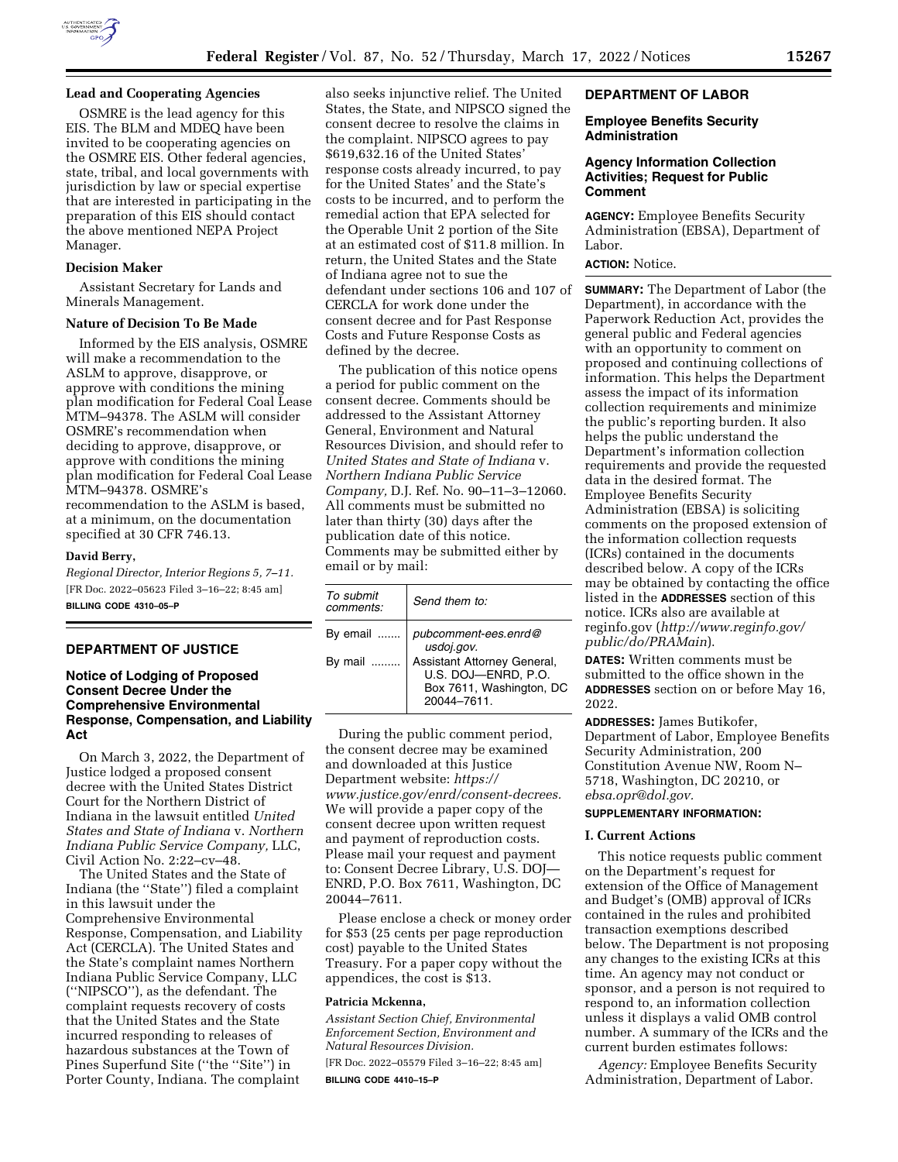

# **Lead and Cooperating Agencies**

OSMRE is the lead agency for this EIS. The BLM and MDEQ have been invited to be cooperating agencies on the OSMRE EIS. Other federal agencies, state, tribal, and local governments with jurisdiction by law or special expertise that are interested in participating in the preparation of this EIS should contact the above mentioned NEPA Project Manager.

### **Decision Maker**

Assistant Secretary for Lands and Minerals Management.

#### **Nature of Decision To Be Made**

Informed by the EIS analysis, OSMRE will make a recommendation to the ASLM to approve, disapprove, or approve with conditions the mining plan modification for Federal Coal Lease MTM–94378. The ASLM will consider OSMRE's recommendation when deciding to approve, disapprove, or approve with conditions the mining plan modification for Federal Coal Lease MTM–94378. OSMRE's recommendation to the ASLM is based, at a minimum, on the documentation specified at 30 CFR 746.13.

### **David Berry,**

*Regional Director, Interior Regions 5, 7–11.*  [FR Doc. 2022–05623 Filed 3–16–22; 8:45 am] **BILLING CODE 4310–05–P** 

### **DEPARTMENT OF JUSTICE**

## **Notice of Lodging of Proposed Consent Decree Under the Comprehensive Environmental Response, Compensation, and Liability Act**

On March 3, 2022, the Department of Justice lodged a proposed consent decree with the United States District Court for the Northern District of Indiana in the lawsuit entitled *United States and State of Indiana* v. *Northern Indiana Public Service Company,* LLC, Civil Action No. 2:22–cv–48.

The United States and the State of Indiana (the ''State'') filed a complaint in this lawsuit under the Comprehensive Environmental Response, Compensation, and Liability Act (CERCLA). The United States and the State's complaint names Northern Indiana Public Service Company, LLC (''NIPSCO''), as the defendant. The complaint requests recovery of costs that the United States and the State incurred responding to releases of hazardous substances at the Town of Pines Superfund Site (''the ''Site'') in Porter County, Indiana. The complaint

also seeks injunctive relief. The United States, the State, and NIPSCO signed the consent decree to resolve the claims in the complaint. NIPSCO agrees to pay \$619,632.16 of the United States' response costs already incurred, to pay for the United States' and the State's costs to be incurred, and to perform the remedial action that EPA selected for the Operable Unit 2 portion of the Site at an estimated cost of \$11.8 million. In return, the United States and the State of Indiana agree not to sue the defendant under sections 106 and 107 of CERCLA for work done under the consent decree and for Past Response Costs and Future Response Costs as defined by the decree.

The publication of this notice opens a period for public comment on the consent decree. Comments should be addressed to the Assistant Attorney General, Environment and Natural Resources Division, and should refer to *United States and State of Indiana* v. *Northern Indiana Public Service Company,* D.J. Ref. No. 90–11–3–12060. All comments must be submitted no later than thirty (30) days after the publication date of this notice. Comments may be submitted either by email or by mail:

| To submit<br>comments: | Send them to:                                                                                |
|------------------------|----------------------------------------------------------------------------------------------|
| By email               | pubcomment-ees.enrd@<br>usdoj.gov.                                                           |
| By mail                | Assistant Attorney General,<br>U.S. DOJ-ENRD, P.O.<br>Box 7611, Washington, DC<br>20044-7611 |

During the public comment period, the consent decree may be examined and downloaded at this Justice Department website: *[https://](https://www.justice.gov/enrd/consent-decrees) [www.justice.gov/enrd/consent-decrees.](https://www.justice.gov/enrd/consent-decrees)*  We will provide a paper copy of the consent decree upon written request and payment of reproduction costs. Please mail your request and payment to: Consent Decree Library, U.S. DOJ— ENRD, P.O. Box 7611, Washington, DC 20044–7611.

Please enclose a check or money order for \$53 (25 cents per page reproduction cost) payable to the United States Treasury. For a paper copy without the appendices, the cost is \$13.

#### **Patricia Mckenna,**

*Assistant Section Chief, Environmental Enforcement Section, Environment and Natural Resources Division.* 

[FR Doc. 2022–05579 Filed 3–16–22; 8:45 am] **BILLING CODE 4410–15–P** 

## **DEPARTMENT OF LABOR**

### **Employee Benefits Security Administration**

## **Agency Information Collection Activities; Request for Public Comment**

**AGENCY:** Employee Benefits Security Administration (EBSA), Department of Labor.

### **ACTION:** Notice.

**SUMMARY:** The Department of Labor (the Department), in accordance with the Paperwork Reduction Act, provides the general public and Federal agencies with an opportunity to comment on proposed and continuing collections of information. This helps the Department assess the impact of its information collection requirements and minimize the public's reporting burden. It also helps the public understand the Department's information collection requirements and provide the requested data in the desired format. The Employee Benefits Security Administration (EBSA) is soliciting comments on the proposed extension of the information collection requests (ICRs) contained in the documents described below. A copy of the ICRs may be obtained by contacting the office listed in the **ADDRESSES** section of this notice. ICRs also are available at reginfo.gov (*[http://www.reginfo.gov/](http://www.reginfo.gov/public/do/PRAMain)  [public/do/PRAMain](http://www.reginfo.gov/public/do/PRAMain)*).

**DATES:** Written comments must be submitted to the office shown in the **ADDRESSES** section on or before May 16, 2022.

**ADDRESSES:** James Butikofer, Department of Labor, Employee Benefits Security Administration, 200 Constitution Avenue NW, Room N– 5718, Washington, DC 20210, or *[ebsa.opr@dol.gov.](mailto:ebsa.opr@dol.gov)* 

## **SUPPLEMENTARY INFORMATION:**

#### **I. Current Actions**

This notice requests public comment on the Department's request for extension of the Office of Management and Budget's (OMB) approval of ICRs contained in the rules and prohibited transaction exemptions described below. The Department is not proposing any changes to the existing ICRs at this time. An agency may not conduct or sponsor, and a person is not required to respond to, an information collection unless it displays a valid OMB control number. A summary of the ICRs and the current burden estimates follows:

*Agency:* Employee Benefits Security Administration, Department of Labor.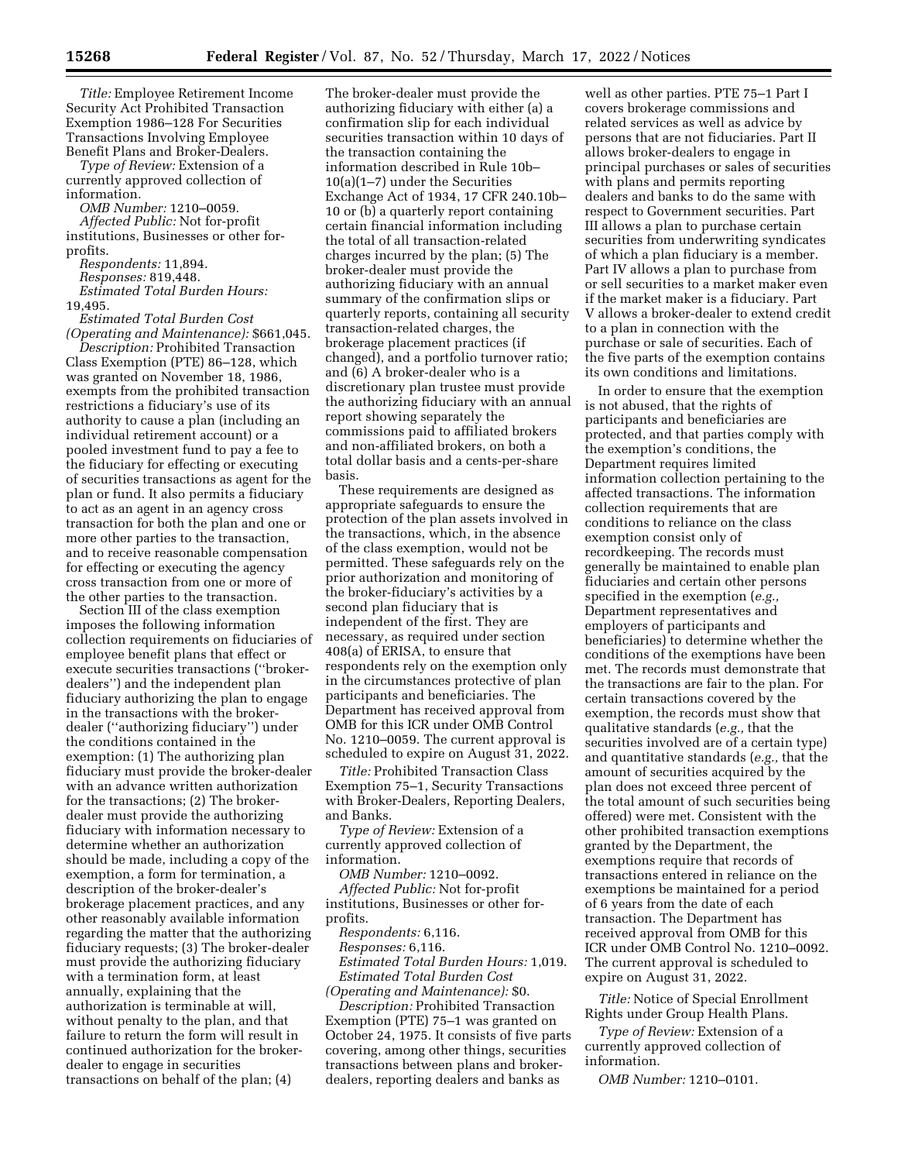*Title:* Employee Retirement Income Security Act Prohibited Transaction Exemption 1986–128 For Securities Transactions Involving Employee Benefit Plans and Broker-Dealers.

*Type of Review:* Extension of a currently approved collection of information.

*OMB Number:* 1210–0059.

*Affected Public:* Not for-profit institutions, Businesses or other forprofits.

*Respondents:* 11,894.

*Responses:* 819,448. *Estimated Total Burden Hours:* 

19,495.

*Estimated Total Burden Cost (Operating and Maintenance):* \$661,045.

*Description:* Prohibited Transaction Class Exemption (PTE) 86–128, which was granted on November 18, 1986, exempts from the prohibited transaction restrictions a fiduciary's use of its authority to cause a plan (including an individual retirement account) or a pooled investment fund to pay a fee to the fiduciary for effecting or executing of securities transactions as agent for the plan or fund. It also permits a fiduciary to act as an agent in an agency cross transaction for both the plan and one or more other parties to the transaction, and to receive reasonable compensation for effecting or executing the agency cross transaction from one or more of the other parties to the transaction.

Section III of the class exemption imposes the following information collection requirements on fiduciaries of employee benefit plans that effect or execute securities transactions (''brokerdealers'') and the independent plan fiduciary authorizing the plan to engage in the transactions with the brokerdealer (''authorizing fiduciary'') under the conditions contained in the exemption: (1) The authorizing plan fiduciary must provide the broker-dealer with an advance written authorization for the transactions; (2) The brokerdealer must provide the authorizing fiduciary with information necessary to determine whether an authorization should be made, including a copy of the exemption, a form for termination, a description of the broker-dealer's brokerage placement practices, and any other reasonably available information regarding the matter that the authorizing fiduciary requests; (3) The broker-dealer must provide the authorizing fiduciary with a termination form, at least annually, explaining that the authorization is terminable at will, without penalty to the plan, and that failure to return the form will result in continued authorization for the brokerdealer to engage in securities transactions on behalf of the plan; (4)

The broker-dealer must provide the authorizing fiduciary with either (a) a confirmation slip for each individual securities transaction within 10 days of the transaction containing the information described in Rule 10b– 10(a)(1–7) under the Securities Exchange Act of 1934, 17 CFR 240.10b– 10 or (b) a quarterly report containing certain financial information including the total of all transaction-related charges incurred by the plan; (5) The broker-dealer must provide the authorizing fiduciary with an annual summary of the confirmation slips or quarterly reports, containing all security transaction-related charges, the brokerage placement practices (if changed), and a portfolio turnover ratio; and (6) A broker-dealer who is a discretionary plan trustee must provide the authorizing fiduciary with an annual report showing separately the commissions paid to affiliated brokers and non-affiliated brokers, on both a total dollar basis and a cents-per-share basis.

These requirements are designed as appropriate safeguards to ensure the protection of the plan assets involved in the transactions, which, in the absence of the class exemption, would not be permitted. These safeguards rely on the prior authorization and monitoring of the broker-fiduciary's activities by a second plan fiduciary that is independent of the first. They are necessary, as required under section 408(a) of ERISA, to ensure that respondents rely on the exemption only in the circumstances protective of plan participants and beneficiaries. The Department has received approval from OMB for this ICR under OMB Control No. 1210–0059. The current approval is scheduled to expire on August 31, 2022.

*Title:* Prohibited Transaction Class Exemption 75–1, Security Transactions with Broker-Dealers, Reporting Dealers, and Banks.

*Type of Review:* Extension of a currently approved collection of information.

*OMB Number:* 1210–0092.

*Affected Public:* Not for-profit institutions, Businesses or other forprofits.

*Respondents:* 6,116. *Responses:* 6,116.

*Estimated Total Burden Hours:* 1,019. *Estimated Total Burden Cost (Operating and Maintenance):* \$0.

*Description:* Prohibited Transaction Exemption (PTE) 75–1 was granted on October 24, 1975. It consists of five parts covering, among other things, securities transactions between plans and brokerdealers, reporting dealers and banks as

well as other parties. PTE 75–1 Part I covers brokerage commissions and related services as well as advice by persons that are not fiduciaries. Part II allows broker-dealers to engage in principal purchases or sales of securities with plans and permits reporting dealers and banks to do the same with respect to Government securities. Part III allows a plan to purchase certain securities from underwriting syndicates of which a plan fiduciary is a member. Part IV allows a plan to purchase from or sell securities to a market maker even if the market maker is a fiduciary. Part V allows a broker-dealer to extend credit to a plan in connection with the purchase or sale of securities. Each of the five parts of the exemption contains its own conditions and limitations.

In order to ensure that the exemption is not abused, that the rights of participants and beneficiaries are protected, and that parties comply with the exemption's conditions, the Department requires limited information collection pertaining to the affected transactions. The information collection requirements that are conditions to reliance on the class exemption consist only of recordkeeping. The records must generally be maintained to enable plan fiduciaries and certain other persons specified in the exemption (*e.g.,*  Department representatives and employers of participants and beneficiaries) to determine whether the conditions of the exemptions have been met. The records must demonstrate that the transactions are fair to the plan. For certain transactions covered by the exemption, the records must show that qualitative standards (*e.g.,* that the securities involved are of a certain type) and quantitative standards (*e.g.,* that the amount of securities acquired by the plan does not exceed three percent of the total amount of such securities being offered) were met. Consistent with the other prohibited transaction exemptions granted by the Department, the exemptions require that records of transactions entered in reliance on the exemptions be maintained for a period of 6 years from the date of each transaction. The Department has received approval from OMB for this ICR under OMB Control No. 1210–0092. The current approval is scheduled to expire on August 31, 2022.

*Title:* Notice of Special Enrollment Rights under Group Health Plans.

*Type of Review:* Extension of a currently approved collection of information.

*OMB Number:* 1210–0101.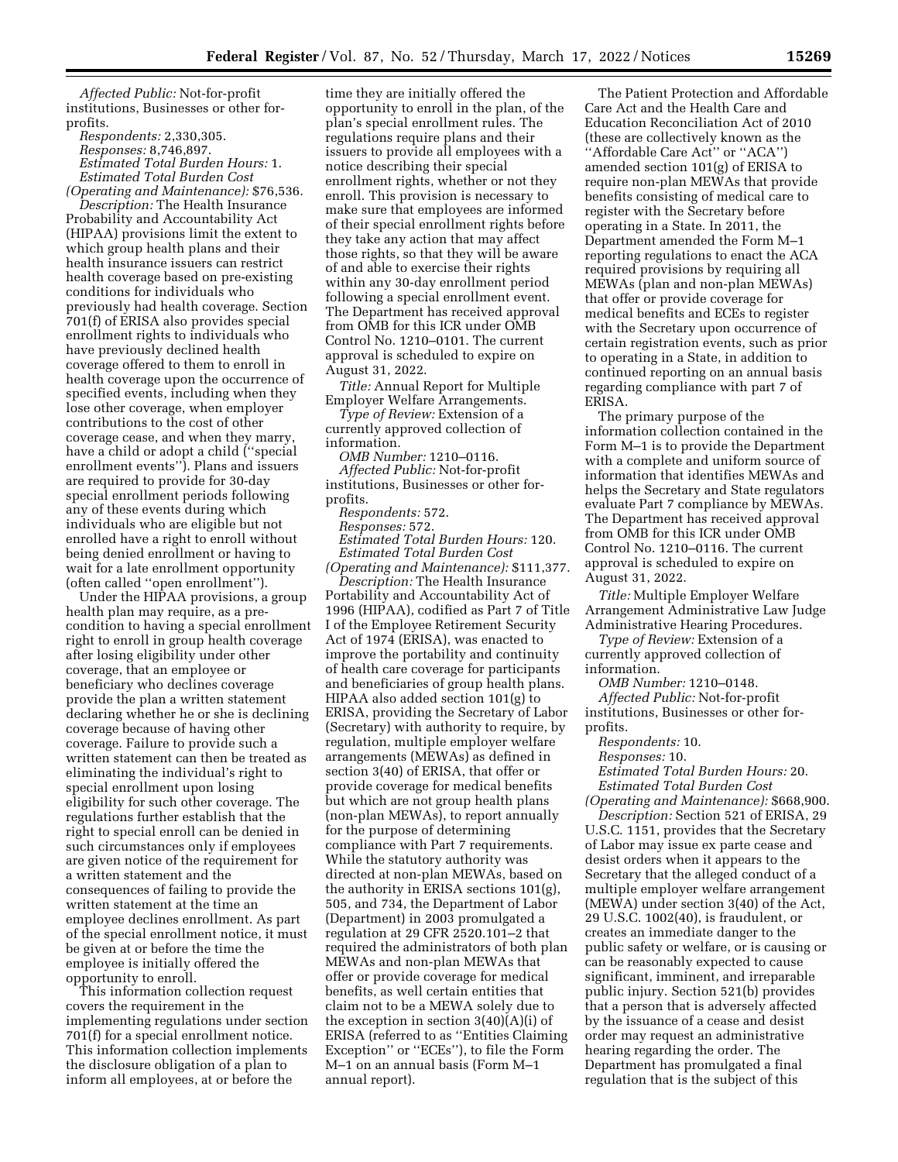*Affected Public:* Not-for-profit institutions, Businesses or other forprofits.

*Respondents:* 2,330,305. *Responses:* 8,746,897. *Estimated Total Burden Hours:* 1. *Estimated Total Burden Cost (Operating and Maintenance):* \$76,536.

*Description:* The Health Insurance Probability and Accountability Act (HIPAA) provisions limit the extent to which group health plans and their health insurance issuers can restrict health coverage based on pre-existing conditions for individuals who previously had health coverage. Section 701(f) of ERISA also provides special enrollment rights to individuals who have previously declined health coverage offered to them to enroll in health coverage upon the occurrence of specified events, including when they lose other coverage, when employer contributions to the cost of other coverage cease, and when they marry, have a child or adopt a child (''special enrollment events''). Plans and issuers are required to provide for 30-day special enrollment periods following any of these events during which individuals who are eligible but not enrolled have a right to enroll without being denied enrollment or having to wait for a late enrollment opportunity (often called ''open enrollment'').

Under the HIPAA provisions, a group health plan may require, as a precondition to having a special enrollment right to enroll in group health coverage after losing eligibility under other coverage, that an employee or beneficiary who declines coverage provide the plan a written statement declaring whether he or she is declining coverage because of having other coverage. Failure to provide such a written statement can then be treated as eliminating the individual's right to special enrollment upon losing eligibility for such other coverage. The regulations further establish that the right to special enroll can be denied in such circumstances only if employees are given notice of the requirement for a written statement and the consequences of failing to provide the written statement at the time an employee declines enrollment. As part of the special enrollment notice, it must be given at or before the time the employee is initially offered the opportunity to enroll.

This information collection request covers the requirement in the implementing regulations under section 701(f) for a special enrollment notice. This information collection implements the disclosure obligation of a plan to inform all employees, at or before the

time they are initially offered the opportunity to enroll in the plan, of the plan's special enrollment rules. The regulations require plans and their issuers to provide all employees with a notice describing their special enrollment rights, whether or not they enroll. This provision is necessary to make sure that employees are informed of their special enrollment rights before they take any action that may affect those rights, so that they will be aware of and able to exercise their rights within any 30-day enrollment period following a special enrollment event. The Department has received approval from OMB for this ICR under OMB Control No. 1210–0101. The current approval is scheduled to expire on August 31, 2022.

*Title:* Annual Report for Multiple Employer Welfare Arrangements.

*Type of Review:* Extension of a currently approved collection of information.

*OMB Number:* 1210–0116.

*Affected Public:* Not-for-profit institutions, Businesses or other forprofits.

*Respondents:* 572. *Responses:* 572. *Estimated Total Burden Hours:* 120. *Estimated Total Burden Cost (Operating and Maintenance):* \$111,377.

*Description:* The Health Insurance Portability and Accountability Act of 1996 (HIPAA), codified as Part 7 of Title I of the Employee Retirement Security Act of 1974 (ERISA), was enacted to improve the portability and continuity of health care coverage for participants and beneficiaries of group health plans. HIPAA also added section 101(g) to ERISA, providing the Secretary of Labor (Secretary) with authority to require, by regulation, multiple employer welfare arrangements (MEWAs) as defined in section 3(40) of ERISA, that offer or provide coverage for medical benefits but which are not group health plans (non-plan MEWAs), to report annually for the purpose of determining compliance with Part 7 requirements. While the statutory authority was directed at non-plan MEWAs, based on the authority in ERISA sections 101(g), 505, and 734, the Department of Labor (Department) in 2003 promulgated a regulation at 29 CFR 2520.101–2 that required the administrators of both plan MEWAs and non-plan MEWAs that offer or provide coverage for medical benefits, as well certain entities that claim not to be a MEWA solely due to the exception in section 3(40)(A)(i) of ERISA (referred to as ''Entities Claiming Exception'' or ''ECEs''), to file the Form M–1 on an annual basis (Form M–1 annual report).

The Patient Protection and Affordable Care Act and the Health Care and Education Reconciliation Act of 2010 (these are collectively known as the ''Affordable Care Act'' or ''ACA'') amended section 101(g) of ERISA to require non-plan MEWAs that provide benefits consisting of medical care to register with the Secretary before operating in a State. In 2011, the Department amended the Form M–1 reporting regulations to enact the ACA required provisions by requiring all MEWAs (plan and non-plan MEWAs) that offer or provide coverage for medical benefits and ECEs to register with the Secretary upon occurrence of certain registration events, such as prior to operating in a State, in addition to continued reporting on an annual basis regarding compliance with part 7 of ERISA.

The primary purpose of the information collection contained in the Form M–1 is to provide the Department with a complete and uniform source of information that identifies MEWAs and helps the Secretary and State regulators evaluate Part 7 compliance by MEWAs. The Department has received approval from OMB for this ICR under OMB Control No. 1210–0116. The current approval is scheduled to expire on August 31, 2022.

*Title:* Multiple Employer Welfare Arrangement Administrative Law Judge Administrative Hearing Procedures.

*Type of Review:* Extension of a currently approved collection of information.

*OMB Number:* 1210–0148. *Affected Public:* Not-for-profit institutions, Businesses or other forprofits.

*Respondents:* 10.

*Responses:* 10.

*Estimated Total Burden Hours:* 20. *Estimated Total Burden Cost* 

*(Operating and Maintenance):* \$668,900. *Description:* Section 521 of ERISA, 29 U.S.C. 1151, provides that the Secretary of Labor may issue ex parte cease and desist orders when it appears to the Secretary that the alleged conduct of a multiple employer welfare arrangement (MEWA) under section 3(40) of the Act, 29 U.S.C. 1002(40), is fraudulent, or creates an immediate danger to the public safety or welfare, or is causing or can be reasonably expected to cause significant, imminent, and irreparable public injury. Section 521(b) provides that a person that is adversely affected by the issuance of a cease and desist order may request an administrative hearing regarding the order. The Department has promulgated a final regulation that is the subject of this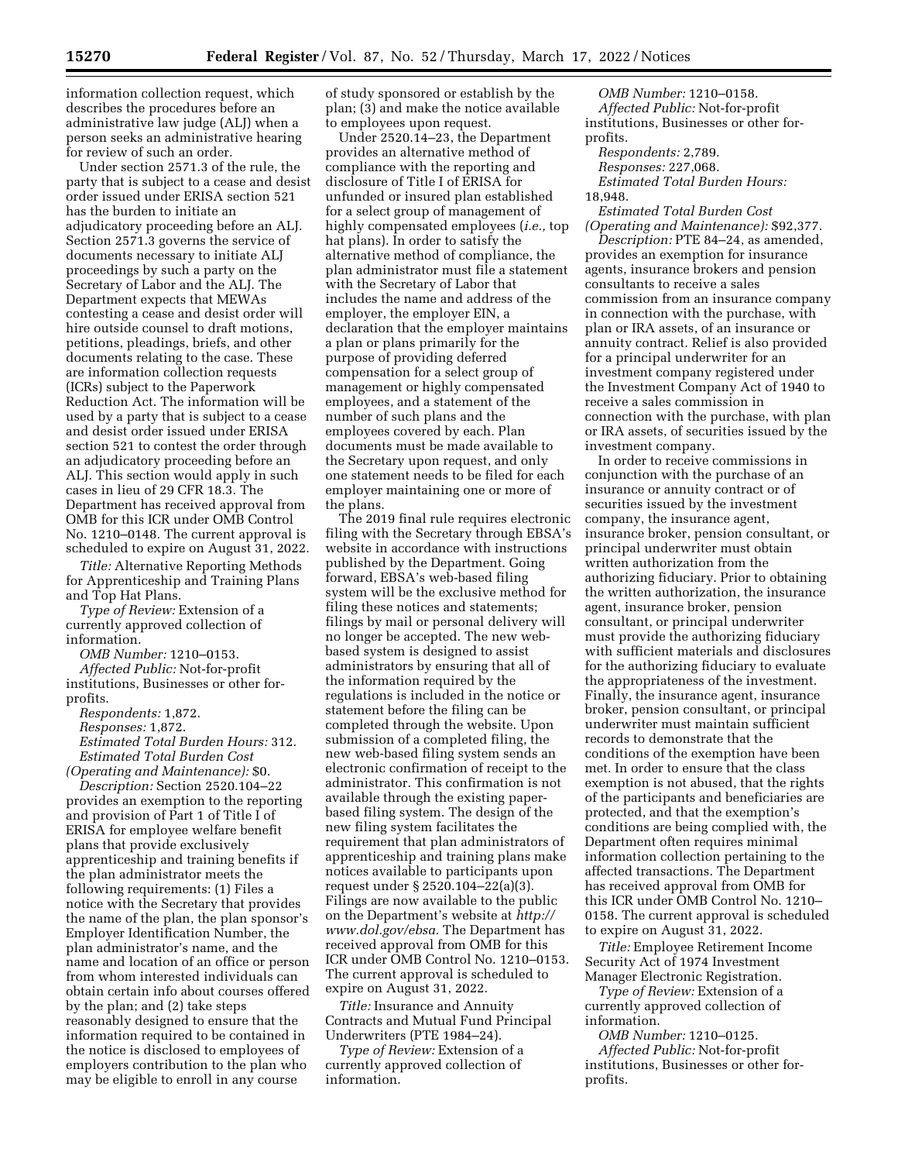information collection request, which describes the procedures before an administrative law judge (ALJ) when a person seeks an administrative hearing for review of such an order.

Under section 2571.3 of the rule, the party that is subject to a cease and desist order issued under ERISA section 521 has the burden to initiate an adjudicatory proceeding before an ALJ. Section 2571.3 governs the service of documents necessary to initiate ALJ proceedings by such a party on the Secretary of Labor and the ALJ. The Department expects that MEWAs contesting a cease and desist order will hire outside counsel to draft motions, petitions, pleadings, briefs, and other documents relating to the case. These are information collection requests (ICRs) subject to the Paperwork Reduction Act. The information will be used by a party that is subject to a cease and desist order issued under ERISA section 521 to contest the order through an adjudicatory proceeding before an ALJ. This section would apply in such cases in lieu of 29 CFR 18.3. The Department has received approval from OMB for this ICR under OMB Control No. 1210–0148. The current approval is scheduled to expire on August 31, 2022.

*Title:* Alternative Reporting Methods for Apprenticeship and Training Plans and Top Hat Plans.

*Type of Review:* Extension of a currently approved collection of information.

*OMB Number:* 1210–0153.

*Affected Public:* Not-for-profit institutions, Businesses or other forprofits.

*Respondents:* 1,872.

*Responses:* 1,872.

*Estimated Total Burden Hours:* 312. *Estimated Total Burden Cost* 

*(Operating and Maintenance):* \$0. *Description:* Section 2520.104–22 provides an exemption to the reporting

and provision of Part 1 of Title I of ERISA for employee welfare benefit plans that provide exclusively apprenticeship and training benefits if the plan administrator meets the following requirements: (1) Files a notice with the Secretary that provides the name of the plan, the plan sponsor's Employer Identification Number, the plan administrator's name, and the name and location of an office or person from whom interested individuals can obtain certain info about courses offered by the plan; and (2) take steps reasonably designed to ensure that the information required to be contained in the notice is disclosed to employees of employers contribution to the plan who may be eligible to enroll in any course

of study sponsored or establish by the plan; (3) and make the notice available to employees upon request.

Under 2520.14–23, the Department provides an alternative method of compliance with the reporting and disclosure of Title I of ERISA for unfunded or insured plan established for a select group of management of highly compensated employees (*i.e.,* top hat plans). In order to satisfy the alternative method of compliance, the plan administrator must file a statement with the Secretary of Labor that includes the name and address of the employer, the employer EIN, a declaration that the employer maintains a plan or plans primarily for the purpose of providing deferred compensation for a select group of management or highly compensated employees, and a statement of the number of such plans and the employees covered by each. Plan documents must be made available to the Secretary upon request, and only one statement needs to be filed for each employer maintaining one or more of the plans.

The 2019 final rule requires electronic filing with the Secretary through EBSA's website in accordance with instructions published by the Department. Going forward, EBSA's web-based filing system will be the exclusive method for filing these notices and statements; filings by mail or personal delivery will no longer be accepted. The new webbased system is designed to assist administrators by ensuring that all of the information required by the regulations is included in the notice or statement before the filing can be completed through the website. Upon submission of a completed filing, the new web-based filing system sends an electronic confirmation of receipt to the administrator. This confirmation is not available through the existing paperbased filing system. The design of the new filing system facilitates the requirement that plan administrators of apprenticeship and training plans make notices available to participants upon request under § 2520.104–22(a)(3). Filings are now available to the public on the Department's website at *[http://](http://www.dol.gov/ebsa) [www.dol.gov/ebsa.](http://www.dol.gov/ebsa)* The Department has received approval from OMB for this ICR under OMB Control No. 1210–0153. The current approval is scheduled to expire on August 31, 2022.

*Title:* Insurance and Annuity Contracts and Mutual Fund Principal Underwriters (PTE 1984–24).

*Type of Review:* Extension of a currently approved collection of information.

*OMB Number:* 1210–0158. *Affected Public:* Not-for-profit institutions, Businesses or other forprofits.

*Respondents:* 2,789. *Responses:* 227,068. *Estimated Total Burden Hours:* 

18,948.

*Estimated Total Burden Cost (Operating and Maintenance):* \$92,377.

*Description:* PTE 84–24, as amended, provides an exemption for insurance agents, insurance brokers and pension consultants to receive a sales commission from an insurance company in connection with the purchase, with plan or IRA assets, of an insurance or annuity contract. Relief is also provided for a principal underwriter for an investment company registered under the Investment Company Act of 1940 to receive a sales commission in connection with the purchase, with plan or IRA assets, of securities issued by the investment company.

In order to receive commissions in conjunction with the purchase of an insurance or annuity contract or of securities issued by the investment company, the insurance agent, insurance broker, pension consultant, or principal underwriter must obtain written authorization from the authorizing fiduciary. Prior to obtaining the written authorization, the insurance agent, insurance broker, pension consultant, or principal underwriter must provide the authorizing fiduciary with sufficient materials and disclosures for the authorizing fiduciary to evaluate the appropriateness of the investment. Finally, the insurance agent, insurance broker, pension consultant, or principal underwriter must maintain sufficient records to demonstrate that the conditions of the exemption have been met. In order to ensure that the class exemption is not abused, that the rights of the participants and beneficiaries are protected, and that the exemption's conditions are being complied with, the Department often requires minimal information collection pertaining to the affected transactions. The Department has received approval from OMB for this ICR under OMB Control No. 1210– 0158. The current approval is scheduled to expire on August 31, 2022.

*Title:* Employee Retirement Income Security Act of 1974 Investment Manager Electronic Registration.

*Type of Review:* Extension of a currently approved collection of information.

*OMB Number:* 1210–0125.

*Affected Public:* Not-for-profit institutions, Businesses or other forprofits.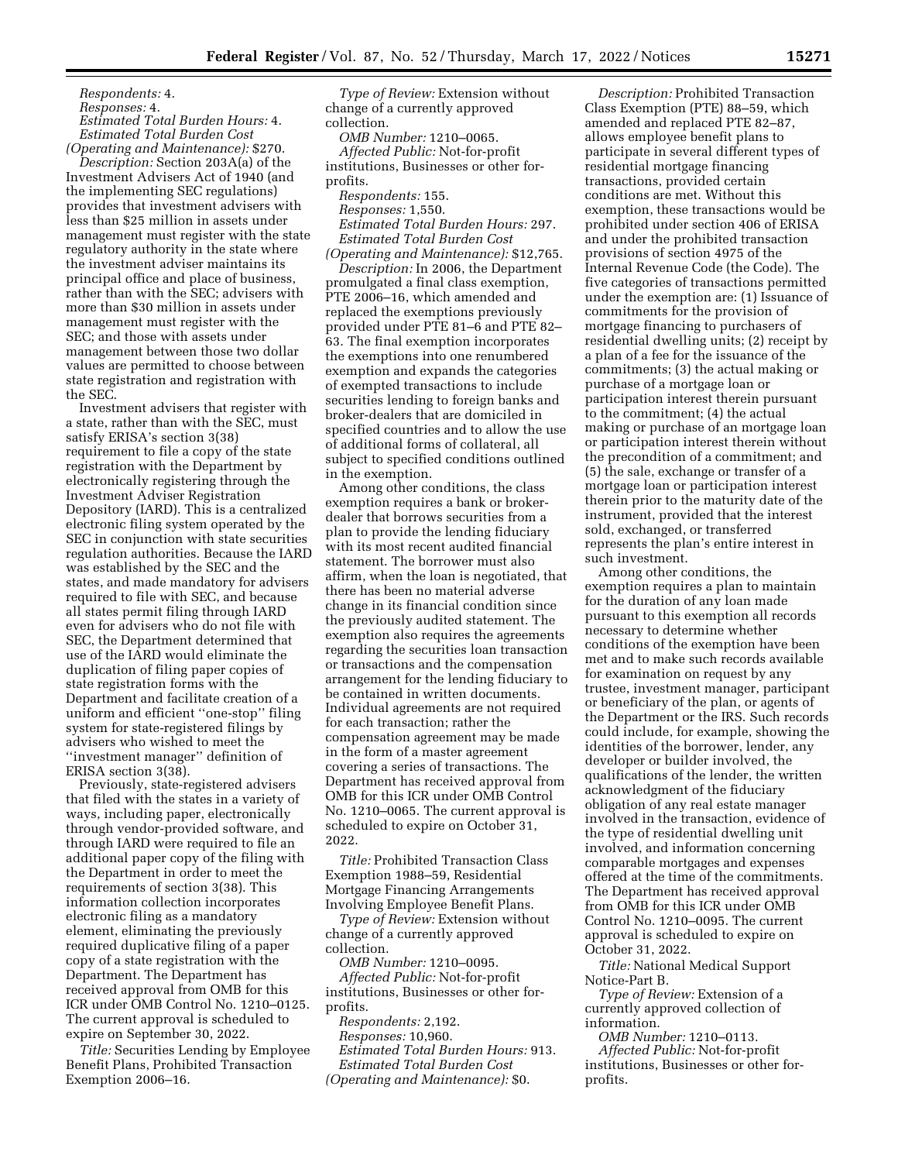*Respondents:* 4.

*Responses:* 4.

*Estimated Total Burden Hours:* 4. *Estimated Total Burden Cost* 

*(Operating and Maintenance):* \$270. *Description:* Section 203A(a) of the Investment Advisers Act of 1940 (and the implementing SEC regulations) provides that investment advisers with less than \$25 million in assets under management must register with the state regulatory authority in the state where the investment adviser maintains its principal office and place of business, rather than with the SEC; advisers with more than \$30 million in assets under management must register with the SEC; and those with assets under management between those two dollar values are permitted to choose between state registration and registration with the SEC.

Investment advisers that register with a state, rather than with the SEC, must satisfy ERISA's section 3(38) requirement to file a copy of the state registration with the Department by electronically registering through the Investment Adviser Registration Depository (IARD). This is a centralized electronic filing system operated by the SEC in conjunction with state securities regulation authorities. Because the IARD was established by the SEC and the states, and made mandatory for advisers required to file with SEC, and because all states permit filing through IARD even for advisers who do not file with SEC, the Department determined that use of the IARD would eliminate the duplication of filing paper copies of state registration forms with the Department and facilitate creation of a uniform and efficient ''one-stop'' filing system for state-registered filings by advisers who wished to meet the ''investment manager'' definition of ERISA section 3(38).

Previously, state-registered advisers that filed with the states in a variety of ways, including paper, electronically through vendor-provided software, and through IARD were required to file an additional paper copy of the filing with the Department in order to meet the requirements of section 3(38). This information collection incorporates electronic filing as a mandatory element, eliminating the previously required duplicative filing of a paper copy of a state registration with the Department. The Department has received approval from OMB for this ICR under OMB Control No. 1210–0125. The current approval is scheduled to expire on September 30, 2022.

*Title:* Securities Lending by Employee Benefit Plans, Prohibited Transaction Exemption 2006–16.

*Type of Review:* Extension without change of a currently approved collection.

*OMB Number:* 1210–0065.

*Affected Public:* Not-for-profit institutions, Businesses or other forprofits.

*Respondents:* 155.

*Responses:* 1,550.

*Estimated Total Burden Hours:* 297. *Estimated Total Burden Cost* 

*(Operating and Maintenance):* \$12,765.

*Description:* In 2006, the Department promulgated a final class exemption, PTE 2006–16, which amended and replaced the exemptions previously provided under PTE 81–6 and PTE 82– 63. The final exemption incorporates the exemptions into one renumbered exemption and expands the categories of exempted transactions to include securities lending to foreign banks and broker-dealers that are domiciled in specified countries and to allow the use of additional forms of collateral, all subject to specified conditions outlined in the exemption.

Among other conditions, the class exemption requires a bank or brokerdealer that borrows securities from a plan to provide the lending fiduciary with its most recent audited financial statement. The borrower must also affirm, when the loan is negotiated, that there has been no material adverse change in its financial condition since the previously audited statement. The exemption also requires the agreements regarding the securities loan transaction or transactions and the compensation arrangement for the lending fiduciary to be contained in written documents. Individual agreements are not required for each transaction; rather the compensation agreement may be made in the form of a master agreement covering a series of transactions. The Department has received approval from OMB for this ICR under OMB Control No. 1210–0065. The current approval is scheduled to expire on October 31, 2022.

*Title:* Prohibited Transaction Class Exemption 1988–59, Residential Mortgage Financing Arrangements Involving Employee Benefit Plans.

*Type of Review:* Extension without change of a currently approved collection.

*OMB Number:* 1210–0095. *Affected Public:* Not-for-profit institutions, Businesses or other forprofits.

*Respondents:* 2,192. *Responses:* 10,960. *Estimated Total Burden Hours:* 913. *Estimated Total Burden Cost (Operating and Maintenance):* \$0.

*Description:* Prohibited Transaction Class Exemption (PTE) 88–59, which amended and replaced PTE 82–87, allows employee benefit plans to participate in several different types of residential mortgage financing transactions, provided certain conditions are met. Without this exemption, these transactions would be prohibited under section 406 of ERISA and under the prohibited transaction provisions of section 4975 of the Internal Revenue Code (the Code). The five categories of transactions permitted under the exemption are: (1) Issuance of commitments for the provision of mortgage financing to purchasers of residential dwelling units; (2) receipt by a plan of a fee for the issuance of the commitments; (3) the actual making or purchase of a mortgage loan or participation interest therein pursuant to the commitment; (4) the actual making or purchase of an mortgage loan or participation interest therein without the precondition of a commitment; and (5) the sale, exchange or transfer of a mortgage loan or participation interest therein prior to the maturity date of the instrument, provided that the interest sold, exchanged, or transferred represents the plan's entire interest in such investment.

Among other conditions, the exemption requires a plan to maintain for the duration of any loan made pursuant to this exemption all records necessary to determine whether conditions of the exemption have been met and to make such records available for examination on request by any trustee, investment manager, participant or beneficiary of the plan, or agents of the Department or the IRS. Such records could include, for example, showing the identities of the borrower, lender, any developer or builder involved, the qualifications of the lender, the written acknowledgment of the fiduciary obligation of any real estate manager involved in the transaction, evidence of the type of residential dwelling unit involved, and information concerning comparable mortgages and expenses offered at the time of the commitments. The Department has received approval from OMB for this ICR under OMB Control No. 1210–0095. The current approval is scheduled to expire on October 31, 2022.

*Title:* National Medical Support Notice-Part B.

*Type of Review:* Extension of a currently approved collection of information.

*OMB Number:* 1210–0113. *Affected Public:* Not-for-profit institutions, Businesses or other forprofits.